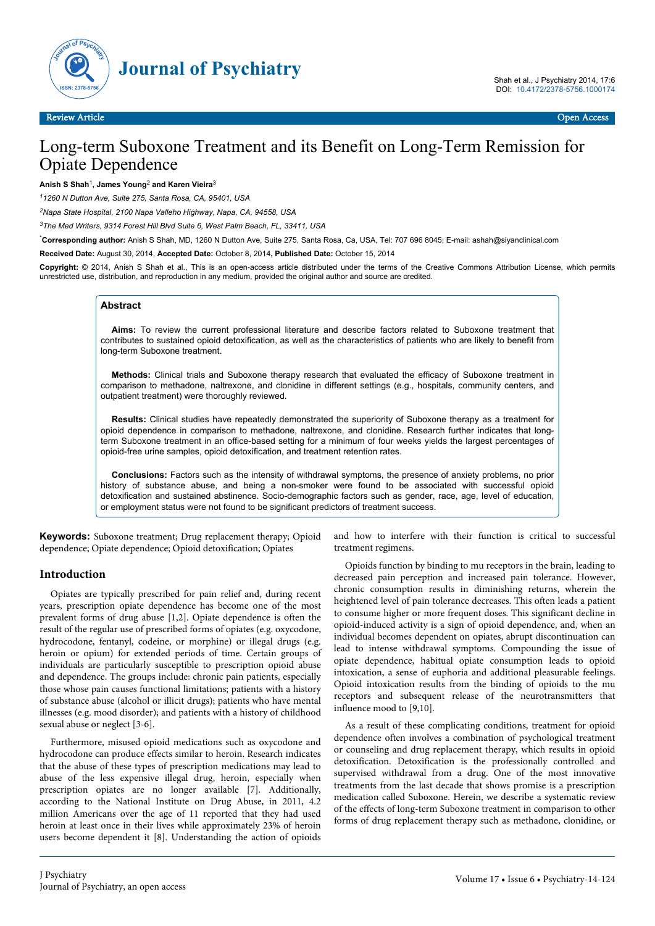

# Long-term Suboxone Treatment and its Benefit on Long-Term Remission for Opiate Dependence

#### **Anish S Shah**<sup>1</sup> **, James Young**<sup>2</sup>  **and Karen Vieira**<sup>3</sup>

*<sup>1</sup>1260 N Dutton Ave, Suite 275, Santa Rosa, CA, 95401, USA*

*<sup>2</sup>Napa State Hospital, 2100 Napa Valleho Highway, Napa, CA, 94558, USA*

*<sup>3</sup>The Med Writers, 9314 Forest Hill Blvd Suite 6, West Palm Beach, FL, 33411, USA*

\***Corresponding author:** Anish S Shah, MD, 1260 N Dutton Ave, Suite 275, Santa Rosa, Ca, USA, Tel: 707 696 8045; E-mail: ashah@siyanclinical.com

**Received Date:** August 30, 2014, **Accepted Date:** October 8, 2014**, Published Date:** October 15, 2014

**Copyright:** © 2014, Anish S Shah et al., This is an open-access article distributed under the terms of the Creative Commons Attribution License, which permits unrestricted use, distribution, and reproduction in any medium, provided the original author and source are credited.

## **Abstract**

**Aims:** To review the current professional literature and describe factors related to Suboxone treatment that contributes to sustained opioid detoxification, as well as the characteristics of patients who are likely to benefit from long-term Suboxone treatment.

**Methods:** Clinical trials and Suboxone therapy research that evaluated the efficacy of Suboxone treatment in comparison to methadone, naltrexone, and clonidine in different settings (e.g., hospitals, community centers, and outpatient treatment) were thoroughly reviewed.

**Results:** Clinical studies have repeatedly demonstrated the superiority of Suboxone therapy as a treatment for opioid dependence in comparison to methadone, naltrexone, and clonidine. Research further indicates that longterm Suboxone treatment in an office-based setting for a minimum of four weeks yields the largest percentages of opioid-free urine samples, opioid detoxification, and treatment retention rates.

**Conclusions:** Factors such as the intensity of withdrawal symptoms, the presence of anxiety problems, no prior history of substance abuse, and being a non-smoker were found to be associated with successful opioid detoxification and sustained abstinence. Socio-demographic factors such as gender, race, age, level of education, or employment status were not found to be significant predictors of treatment success.

**Keywords:** Suboxone treatment; Drug replacement therapy; Opioid dependence; Opiate dependence; Opioid detoxification; Opiates

### **Introduction**

Opiates are typically prescribed for pain relief and, during recent years, prescription opiate dependence has become one of the most prevalent forms of drug abuse [1,2]. Opiate dependence is often the result of the regular use of prescribed forms of opiates (e.g. oxycodone, hydrocodone, fentanyl, codeine, or morphine) or illegal drugs (e.g. heroin or opium) for extended periods of time. Certain groups of individuals are particularly susceptible to prescription opioid abuse and dependence. The groups include: chronic pain patients, especially those whose pain causes functional limitations; patients with a history of substance abuse (alcohol or illicit drugs); patients who have mental illnesses (e.g. mood disorder); and patients with a history of childhood sexual abuse or neglect [3-6].

Furthermore, misused opioid medications such as oxycodone and hydrocodone can produce effects similar to heroin. Research indicates that the abuse of these types of prescription medications may lead to abuse of the less expensive illegal drug, heroin, especially when prescription opiates are no longer available [7]. Additionally, according to the National Institute on Drug Abuse, in 2011, 4.2 million Americans over the age of 11 reported that they had used heroin at least once in their lives while approximately 23% of heroin users become dependent it [8]. Understanding the action of opioids and how to interfere with their function is critical to successful treatment regimens.

Opioids function by binding to mu receptors in the brain, leading to decreased pain perception and increased pain tolerance. However, chronic consumption results in diminishing returns, wherein the heightened level of pain tolerance decreases. This often leads a patient to consume higher or more frequent doses. This significant decline in opioid-induced activity is a sign of opioid dependence, and, when an individual becomes dependent on opiates, abrupt discontinuation can lead to intense withdrawal symptoms. Compounding the issue of opiate dependence, habitual opiate consumption leads to opioid intoxication, a sense of euphoria and additional pleasurable feelings. Opioid intoxication results from the binding of opioids to the mu receptors and subsequent release of the neurotransmitters that influence mood to [9,10].

As a result of these complicating conditions, treatment for opioid dependence often involves a combination of psychological treatment or counseling and drug replacement therapy, which results in opioid detoxification. Detoxification is the professionally controlled and supervised withdrawal from a drug. One of the most innovative treatments from the last decade that shows promise is a prescription medication called Suboxone. Herein, we describe a systematic review of the effects of long-term Suboxone treatment in comparison to other forms of drug replacement therapy such as methadone, clonidine, or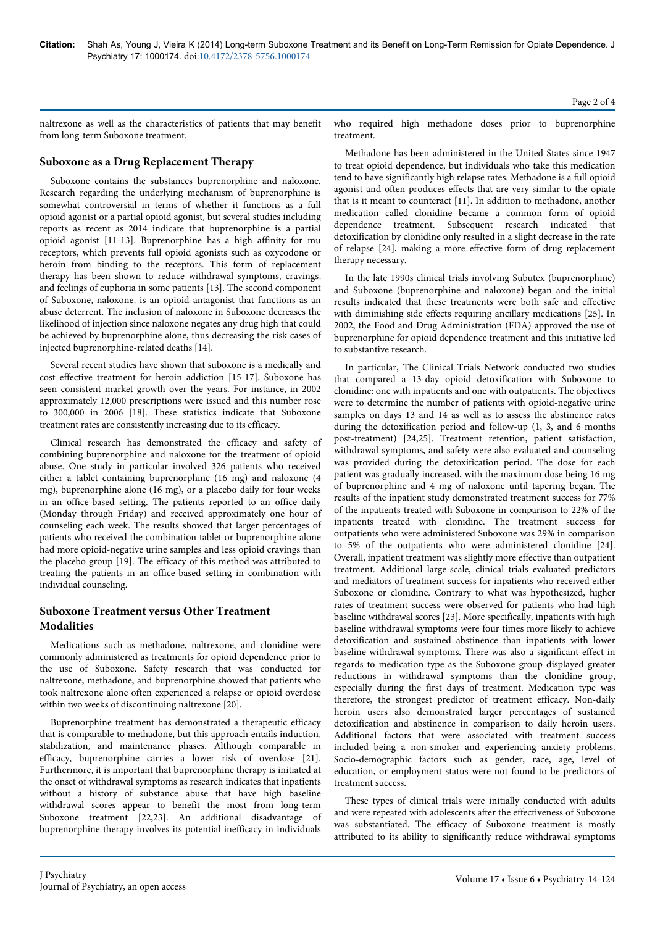naltrexone as well as the characteristics of patients that may benefit from long-term Suboxone treatment.

who required high methadone doses prior to buprenorphine treatment.

## **Suboxone as a Drug Replacement Therapy**

Suboxone contains the substances buprenorphine and naloxone. Research regarding the underlying mechanism of buprenorphine is somewhat controversial in terms of whether it functions as a full opioid agonist or a partial opioid agonist, but several studies including reports as recent as 2014 indicate that buprenorphine is a partial opioid agonist [11-13]. Buprenorphine has a high affinity for mu receptors, which prevents full opioid agonists such as oxycodone or heroin from binding to the receptors. This form of replacement therapy has been shown to reduce withdrawal symptoms, cravings, and feelings of euphoria in some patients [13]. The second component of Suboxone, naloxone, is an opioid antagonist that functions as an abuse deterrent. The inclusion of naloxone in Suboxone decreases the likelihood of injection since naloxone negates any drug high that could be achieved by buprenorphine alone, thus decreasing the risk cases of injected buprenorphine-related deaths [14].

Several recent studies have shown that suboxone is a medically and cost effective treatment for heroin addiction [15-17]. Suboxone has seen consistent market growth over the years. For instance, in 2002 approximately 12,000 prescriptions were issued and this number rose to 300,000 in 2006 [18]. These statistics indicate that Suboxone treatment rates are consistently increasing due to its efficacy.

Clinical research has demonstrated the efficacy and safety of combining buprenorphine and naloxone for the treatment of opioid abuse. One study in particular involved 326 patients who received either a tablet containing buprenorphine (16 mg) and naloxone (4 mg), buprenorphine alone (16 mg), or a placebo daily for four weeks in an office-based setting. The patients reported to an office daily (Monday through Friday) and received approximately one hour of counseling each week. The results showed that larger percentages of patients who received the combination tablet or buprenorphine alone had more opioid-negative urine samples and less opioid cravings than the placebo group [19]. The efficacy of this method was attributed to treating the patients in an office-based setting in combination with individual counseling.

## **Suboxone Treatment versus Other Treatment Modalities**

Medications such as methadone, naltrexone, and clonidine were commonly administered as treatments for opioid dependence prior to the use of Suboxone. Safety research that was conducted for naltrexone, methadone, and buprenorphine showed that patients who took naltrexone alone often experienced a relapse or opioid overdose within two weeks of discontinuing naltrexone [20].

Buprenorphine treatment has demonstrated a therapeutic efficacy that is comparable to methadone, but this approach entails induction, stabilization, and maintenance phases. Although comparable in efficacy, buprenorphine carries a lower risk of overdose [21]. Furthermore, it is important that buprenorphine therapy is initiated at the onset of withdrawal symptoms as research indicates that inpatients without a history of substance abuse that have high baseline withdrawal scores appear to benefit the most from long-term Suboxone treatment [22,23]. An additional disadvantage of buprenorphine therapy involves its potential inefficacy in individuals

Methadone has been administered in the United States since 1947 to treat opioid dependence, but individuals who take this medication tend to have significantly high relapse rates. Methadone is a full opioid agonist and often produces effects that are very similar to the opiate that is it meant to counteract [11]. In addition to methadone, another medication called clonidine became a common form of opioid dependence treatment. Subsequent research indicated that detoxification by clonidine only resulted in a slight decrease in the rate of relapse [24], making a more effective form of drug replacement therapy necessary.

In the late 1990s clinical trials involving Subutex (buprenorphine) and Suboxone (buprenorphine and naloxone) began and the initial results indicated that these treatments were both safe and effective with diminishing side effects requiring ancillary medications [25]. In 2002, the Food and Drug Administration (FDA) approved the use of buprenorphine for opioid dependence treatment and this initiative led to substantive research.

In particular, The Clinical Trials Network conducted two studies that compared a 13-day opioid detoxification with Suboxone to clonidine: one with inpatients and one with outpatients. The objectives were to determine the number of patients with opioid-negative urine samples on days 13 and 14 as well as to assess the abstinence rates during the detoxification period and follow-up (1, 3, and 6 months post-treatment) [24,25]. Treatment retention, patient satisfaction, withdrawal symptoms, and safety were also evaluated and counseling was provided during the detoxification period. The dose for each patient was gradually increased, with the maximum dose being 16 mg of buprenorphine and 4 mg of naloxone until tapering began. The results of the inpatient study demonstrated treatment success for 77% of the inpatients treated with Suboxone in comparison to 22% of the inpatients treated with clonidine. The treatment success for outpatients who were administered Suboxone was 29% in comparison to 5% of the outpatients who were administered clonidine [24]. Overall, inpatient treatment was slightly more effective than outpatient treatment. Additional large-scale, clinical trials evaluated predictors and mediators of treatment success for inpatients who received either Suboxone or clonidine. Contrary to what was hypothesized, higher rates of treatment success were observed for patients who had high baseline withdrawal scores [23]. More specifically, inpatients with high baseline withdrawal symptoms were four times more likely to achieve detoxification and sustained abstinence than inpatients with lower baseline withdrawal symptoms. There was also a significant effect in regards to medication type as the Suboxone group displayed greater reductions in withdrawal symptoms than the clonidine group, especially during the first days of treatment. Medication type was therefore, the strongest predictor of treatment efficacy. Non-daily heroin users also demonstrated larger percentages of sustained detoxification and abstinence in comparison to daily heroin users. Additional factors that were associated with treatment success included being a non-smoker and experiencing anxiety problems. Socio-demographic factors such as gender, race, age, level of education, or employment status were not found to be predictors of treatment success.

These types of clinical trials were initially conducted with adults and were repeated with adolescents after the effectiveness of Suboxone was substantiated. The efficacy of Suboxone treatment is mostly attributed to its ability to significantly reduce withdrawal symptoms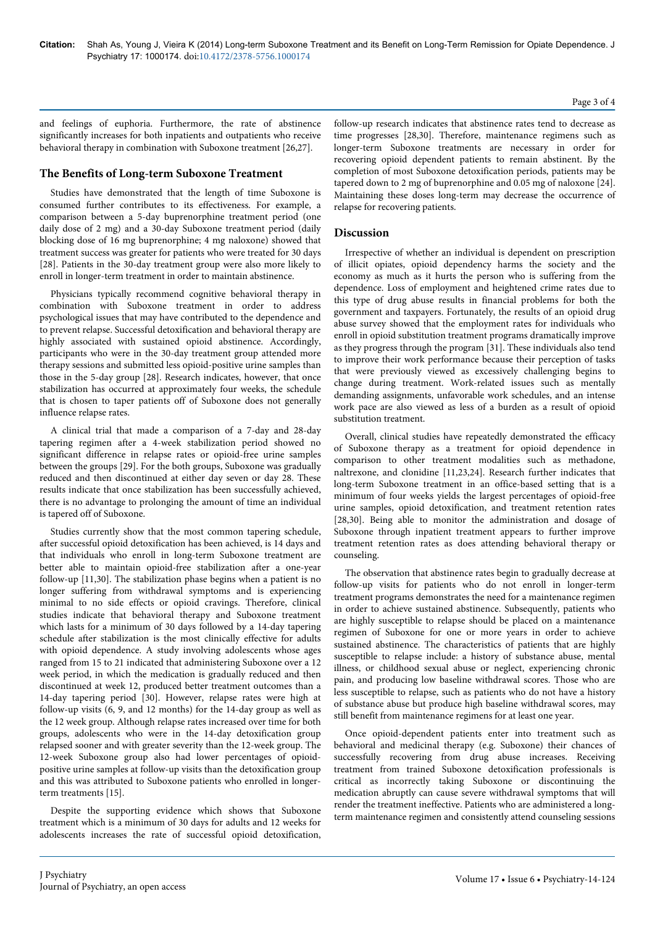and feelings of euphoria. Furthermore, the rate of abstinence significantly increases for both inpatients and outpatients who receive behavioral therapy in combination with Suboxone treatment [26,27].

## **The Benefits of Long-term Suboxone Treatment**

Studies have demonstrated that the length of time Suboxone is consumed further contributes to its effectiveness. For example, a comparison between a 5-day buprenorphine treatment period (one daily dose of 2 mg) and a 30-day Suboxone treatment period (daily blocking dose of 16 mg buprenorphine; 4 mg naloxone) showed that treatment success was greater for patients who were treated for 30 days [28]. Patients in the 30-day treatment group were also more likely to enroll in longer-term treatment in order to maintain abstinence.

Physicians typically recommend cognitive behavioral therapy in combination with Suboxone treatment in order to address psychological issues that may have contributed to the dependence and to prevent relapse. Successful detoxification and behavioral therapy are highly associated with sustained opioid abstinence. Accordingly, participants who were in the 30-day treatment group attended more therapy sessions and submitted less opioid-positive urine samples than those in the 5-day group [28]. Research indicates, however, that once stabilization has occurred at approximately four weeks, the schedule that is chosen to taper patients off of Suboxone does not generally influence relapse rates.

A clinical trial that made a comparison of a 7-day and 28-day tapering regimen after a 4-week stabilization period showed no significant difference in relapse rates or opioid-free urine samples between the groups [29]. For the both groups, Suboxone was gradually reduced and then discontinued at either day seven or day 28. These results indicate that once stabilization has been successfully achieved, there is no advantage to prolonging the amount of time an individual is tapered off of Suboxone.

Studies currently show that the most common tapering schedule, after successful opioid detoxification has been achieved, is 14 days and that individuals who enroll in long-term Suboxone treatment are better able to maintain opioid-free stabilization after a one-year follow-up [11,30]. The stabilization phase begins when a patient is no longer suffering from withdrawal symptoms and is experiencing minimal to no side effects or opioid cravings. Therefore, clinical studies indicate that behavioral therapy and Suboxone treatment which lasts for a minimum of 30 days followed by a 14-day tapering schedule after stabilization is the most clinically effective for adults with opioid dependence. A study involving adolescents whose ages ranged from 15 to 21 indicated that administering Suboxone over a 12 week period, in which the medication is gradually reduced and then discontinued at week 12, produced better treatment outcomes than a 14-day tapering period [30]. However, relapse rates were high at follow-up visits (6, 9, and 12 months) for the 14-day group as well as the 12 week group. Although relapse rates increased over time for both groups, adolescents who were in the 14-day detoxification group relapsed sooner and with greater severity than the 12-week group. The 12-week Suboxone group also had lower percentages of opioidpositive urine samples at follow-up visits than the detoxification group and this was attributed to Suboxone patients who enrolled in longerterm treatments [15].

Despite the supporting evidence which shows that Suboxone treatment which is a minimum of 30 days for adults and 12 weeks for adolescents increases the rate of successful opioid detoxification, follow-up research indicates that abstinence rates tend to decrease as time progresses [28,30]. Therefore, maintenance regimens such as longer-term Suboxone treatments are necessary in order for recovering opioid dependent patients to remain abstinent. By the completion of most Suboxone detoxification periods, patients may be tapered down to 2 mg of buprenorphine and 0.05 mg of naloxone [24]. Maintaining these doses long-term may decrease the occurrence of relapse for recovering patients.

### **Discussion**

Irrespective of whether an individual is dependent on prescription of illicit opiates, opioid dependency harms the society and the economy as much as it hurts the person who is suffering from the dependence. Loss of employment and heightened crime rates due to this type of drug abuse results in financial problems for both the government and taxpayers. Fortunately, the results of an opioid drug abuse survey showed that the employment rates for individuals who enroll in opioid substitution treatment programs dramatically improve as they progress through the program [31]. These individuals also tend to improve their work performance because their perception of tasks that were previously viewed as excessively challenging begins to change during treatment. Work-related issues such as mentally demanding assignments, unfavorable work schedules, and an intense work pace are also viewed as less of a burden as a result of opioid substitution treatment.

Overall, clinical studies have repeatedly demonstrated the efficacy of Suboxone therapy as a treatment for opioid dependence in comparison to other treatment modalities such as methadone, naltrexone, and clonidine [11,23,24]. Research further indicates that long-term Suboxone treatment in an office-based setting that is a minimum of four weeks yields the largest percentages of opioid-free urine samples, opioid detoxification, and treatment retention rates [28,30]. Being able to monitor the administration and dosage of Suboxone through inpatient treatment appears to further improve treatment retention rates as does attending behavioral therapy or counseling.

The observation that abstinence rates begin to gradually decrease at follow-up visits for patients who do not enroll in longer-term treatment programs demonstrates the need for a maintenance regimen in order to achieve sustained abstinence. Subsequently, patients who are highly susceptible to relapse should be placed on a maintenance regimen of Suboxone for one or more years in order to achieve sustained abstinence. The characteristics of patients that are highly susceptible to relapse include: a history of substance abuse, mental illness, or childhood sexual abuse or neglect, experiencing chronic pain, and producing low baseline withdrawal scores. Those who are less susceptible to relapse, such as patients who do not have a history of substance abuse but produce high baseline withdrawal scores, may still benefit from maintenance regimens for at least one year.

Once opioid-dependent patients enter into treatment such as behavioral and medicinal therapy (e.g. Suboxone) their chances of successfully recovering from drug abuse increases. Receiving treatment from trained Suboxone detoxification professionals is critical as incorrectly taking Suboxone or discontinuing the medication abruptly can cause severe withdrawal symptoms that will render the treatment ineffective. Patients who are administered a longterm maintenance regimen and consistently attend counseling sessions